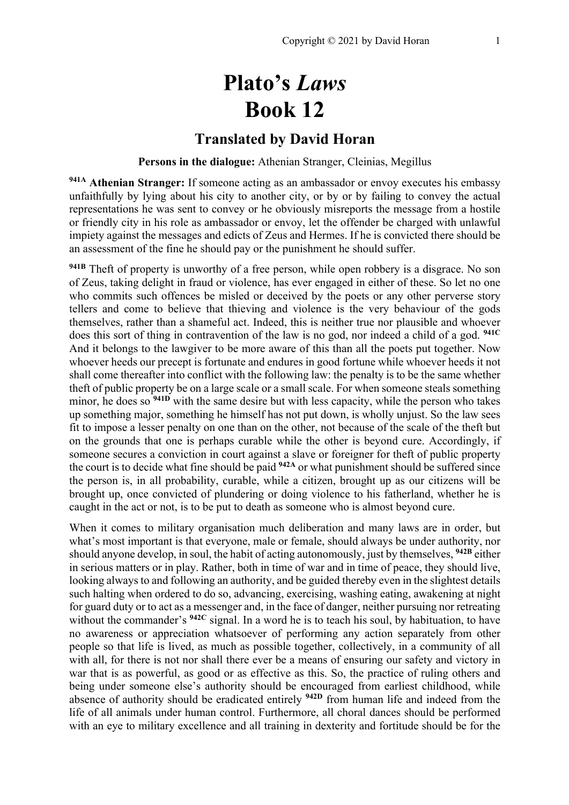# **Plato's** *Laws* **Book 12**

## **Translated by David Horan**

#### **Persons in the dialogue:** Athenian Stranger, Cleinias, Megillus

**941A Athenian Stranger:** If someone acting as an ambassador or envoy executes his embassy unfaithfully by lying about his city to another city, or by or by failing to convey the actual representations he was sent to convey or he obviously misreports the message from a hostile or friendly city in his role as ambassador or envoy, let the offender be charged with unlawful impiety against the messages and edicts of Zeus and Hermes. If he is convicted there should be an assessment of the fine he should pay or the punishment he should suffer.

<sup>941B</sup> Theft of property is unworthy of a free person, while open robbery is a disgrace. No son of Zeus, taking delight in fraud or violence, has ever engaged in either of these. So let no one who commits such offences be misled or deceived by the poets or any other perverse story tellers and come to believe that thieving and violence is the very behaviour of the gods themselves, rather than a shameful act. Indeed, this is neither true nor plausible and whoever does this sort of thing in contravention of the law is no god, nor indeed a child of a god. **941C** And it belongs to the lawgiver to be more aware of this than all the poets put together. Now whoever heeds our precept is fortunate and endures in good fortune while whoever heeds it not shall come thereafter into conflict with the following law: the penalty is to be the same whether theft of public property be on a large scale or a small scale. For when someone steals something minor, he does so **941D** with the same desire but with less capacity, while the person who takes up something major, something he himself has not put down, is wholly unjust. So the law sees fit to impose a lesser penalty on one than on the other, not because of the scale of the theft but on the grounds that one is perhaps curable while the other is beyond cure. Accordingly, if someone secures a conviction in court against a slave or foreigner for theft of public property the court is to decide what fine should be paid **942A** or what punishment should be suffered since the person is, in all probability, curable, while a citizen, brought up as our citizens will be brought up, once convicted of plundering or doing violence to his fatherland, whether he is caught in the act or not, is to be put to death as someone who is almost beyond cure.

When it comes to military organisation much deliberation and many laws are in order, but what's most important is that everyone, male or female, should always be under authority, nor should anyone develop, in soul, the habit of acting autonomously, just by themselves, **942B** either in serious matters or in play. Rather, both in time of war and in time of peace, they should live, looking always to and following an authority, and be guided thereby even in the slightest details such halting when ordered to do so, advancing, exercising, washing eating, awakening at night for guard duty or to act as a messenger and, in the face of danger, neither pursuing nor retreating without the commander's <sup>942C</sup> signal. In a word he is to teach his soul, by habituation, to have no awareness or appreciation whatsoever of performing any action separately from other people so that life is lived, as much as possible together, collectively, in a community of all with all, for there is not nor shall there ever be a means of ensuring our safety and victory in war that is as powerful, as good or as effective as this. So, the practice of ruling others and being under someone else's authority should be encouraged from earliest childhood, while absence of authority should be eradicated entirely **942D** from human life and indeed from the life of all animals under human control. Furthermore, all choral dances should be performed with an eye to military excellence and all training in dexterity and fortitude should be for the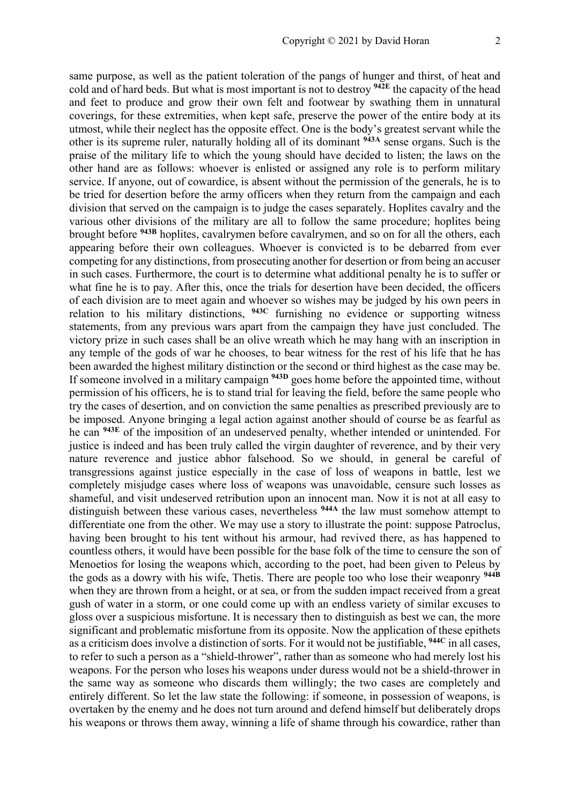same purpose, as well as the patient toleration of the pangs of hunger and thirst, of heat and cold and of hard beds. But what is most important is not to destroy **942E** the capacity of the head and feet to produce and grow their own felt and footwear by swathing them in unnatural coverings, for these extremities, when kept safe, preserve the power of the entire body at its utmost, while their neglect has the opposite effect. One is the body's greatest servant while the other is its supreme ruler, naturally holding all of its dominant **943A** sense organs. Such is the praise of the military life to which the young should have decided to listen; the laws on the other hand are as follows: whoever is enlisted or assigned any role is to perform military service. If anyone, out of cowardice, is absent without the permission of the generals, he is to be tried for desertion before the army officers when they return from the campaign and each division that served on the campaign is to judge the cases separately. Hoplites cavalry and the various other divisions of the military are all to follow the same procedure; hoplites being brought before **943B** hoplites, cavalrymen before cavalrymen, and so on for all the others, each appearing before their own colleagues. Whoever is convicted is to be debarred from ever competing for any distinctions, from prosecuting another for desertion or from being an accuser in such cases. Furthermore, the court is to determine what additional penalty he is to suffer or what fine he is to pay. After this, once the trials for desertion have been decided, the officers of each division are to meet again and whoever so wishes may be judged by his own peers in relation to his military distinctions, **943C** furnishing no evidence or supporting witness statements, from any previous wars apart from the campaign they have just concluded. The victory prize in such cases shall be an olive wreath which he may hang with an inscription in any temple of the gods of war he chooses, to bear witness for the rest of his life that he has been awarded the highest military distinction or the second or third highest as the case may be. If someone involved in a military campaign **943D** goes home before the appointed time, without permission of his officers, he is to stand trial for leaving the field, before the same people who try the cases of desertion, and on conviction the same penalties as prescribed previously are to be imposed. Anyone bringing a legal action against another should of course be as fearful as he can **943E** of the imposition of an undeserved penalty, whether intended or unintended. For justice is indeed and has been truly called the virgin daughter of reverence, and by their very nature reverence and justice abhor falsehood. So we should, in general be careful of transgressions against justice especially in the case of loss of weapons in battle, lest we completely misjudge cases where loss of weapons was unavoidable, censure such losses as shameful, and visit undeserved retribution upon an innocent man. Now it is not at all easy to distinguish between these various cases, nevertheless **944A** the law must somehow attempt to differentiate one from the other. We may use a story to illustrate the point: suppose Patroclus, having been brought to his tent without his armour, had revived there, as has happened to countless others, it would have been possible for the base folk of the time to censure the son of Menoetios for losing the weapons which, according to the poet, had been given to Peleus by the gods as a dowry with his wife, Thetis. There are people too who lose their weaponry **944B** when they are thrown from a height, or at sea, or from the sudden impact received from a great gush of water in a storm, or one could come up with an endless variety of similar excuses to gloss over a suspicious misfortune. It is necessary then to distinguish as best we can, the more significant and problematic misfortune from its opposite. Now the application of these epithets as a criticism does involve a distinction of sorts. For it would not be justifiable, **944C** in all cases, to refer to such a person as a "shield-thrower", rather than as someone who had merely lost his weapons. For the person who loses his weapons under duress would not be a shield-thrower in the same way as someone who discards them willingly; the two cases are completely and entirely different. So let the law state the following: if someone, in possession of weapons, is overtaken by the enemy and he does not turn around and defend himself but deliberately drops his weapons or throws them away, winning a life of shame through his cowardice, rather than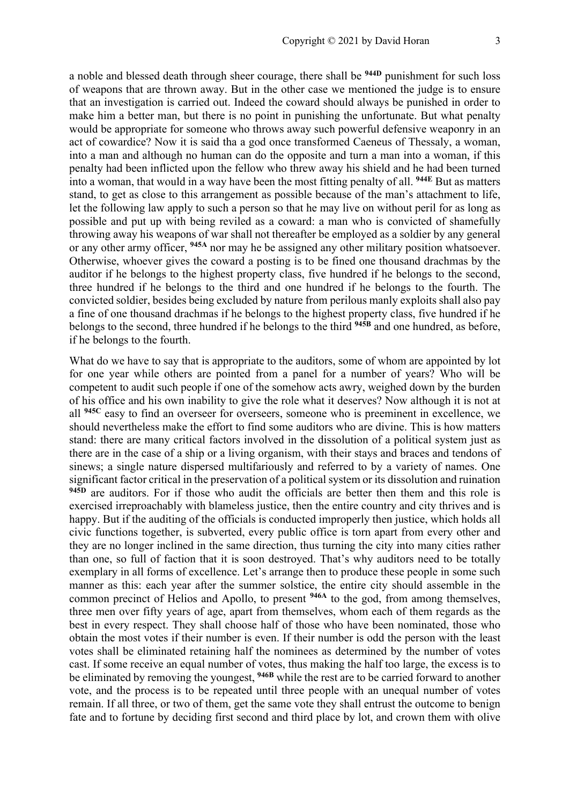a noble and blessed death through sheer courage, there shall be **944D** punishment for such loss of weapons that are thrown away. But in the other case we mentioned the judge is to ensure that an investigation is carried out. Indeed the coward should always be punished in order to make him a better man, but there is no point in punishing the unfortunate. But what penalty would be appropriate for someone who throws away such powerful defensive weaponry in an act of cowardice? Now it is said tha a god once transformed Caeneus of Thessaly, a woman, into a man and although no human can do the opposite and turn a man into a woman, if this penalty had been inflicted upon the fellow who threw away his shield and he had been turned into a woman, that would in a way have been the most fitting penalty of all. **944E** But as matters stand, to get as close to this arrangement as possible because of the man's attachment to life, let the following law apply to such a person so that he may live on without peril for as long as possible and put up with being reviled as a coward: a man who is convicted of shamefully throwing away his weapons of war shall not thereafter be employed as a soldier by any general or any other army officer, **945A** nor may he be assigned any other military position whatsoever. Otherwise, whoever gives the coward a posting is to be fined one thousand drachmas by the auditor if he belongs to the highest property class, five hundred if he belongs to the second, three hundred if he belongs to the third and one hundred if he belongs to the fourth. The convicted soldier, besides being excluded by nature from perilous manly exploits shall also pay a fine of one thousand drachmas if he belongs to the highest property class, five hundred if he belongs to the second, three hundred if he belongs to the third **945B** and one hundred, as before, if he belongs to the fourth.

What do we have to say that is appropriate to the auditors, some of whom are appointed by lot for one year while others are pointed from a panel for a number of years? Who will be competent to audit such people if one of the somehow acts awry, weighed down by the burden of his office and his own inability to give the role what it deserves? Now although it is not at all **945C** easy to find an overseer for overseers, someone who is preeminent in excellence, we should nevertheless make the effort to find some auditors who are divine. This is how matters stand: there are many critical factors involved in the dissolution of a political system just as there are in the case of a ship or a living organism, with their stays and braces and tendons of sinews; a single nature dispersed multifariously and referred to by a variety of names. One significant factor critical in the preservation of a political system or its dissolution and ruination **945D** are auditors. For if those who audit the officials are better then them and this role is exercised irreproachably with blameless justice, then the entire country and city thrives and is happy. But if the auditing of the officials is conducted improperly then justice, which holds all civic functions together, is subverted, every public office is torn apart from every other and they are no longer inclined in the same direction, thus turning the city into many cities rather than one, so full of faction that it is soon destroyed. That's why auditors need to be totally exemplary in all forms of excellence. Let's arrange then to produce these people in some such manner as this: each year after the summer solstice, the entire city should assemble in the common precinct of Helios and Apollo, to present **946A** to the god, from among themselves, three men over fifty years of age, apart from themselves, whom each of them regards as the best in every respect. They shall choose half of those who have been nominated, those who obtain the most votes if their number is even. If their number is odd the person with the least votes shall be eliminated retaining half the nominees as determined by the number of votes cast. If some receive an equal number of votes, thus making the half too large, the excess is to be eliminated by removing the youngest, **946B** while the rest are to be carried forward to another vote, and the process is to be repeated until three people with an unequal number of votes remain. If all three, or two of them, get the same vote they shall entrust the outcome to benign fate and to fortune by deciding first second and third place by lot, and crown them with olive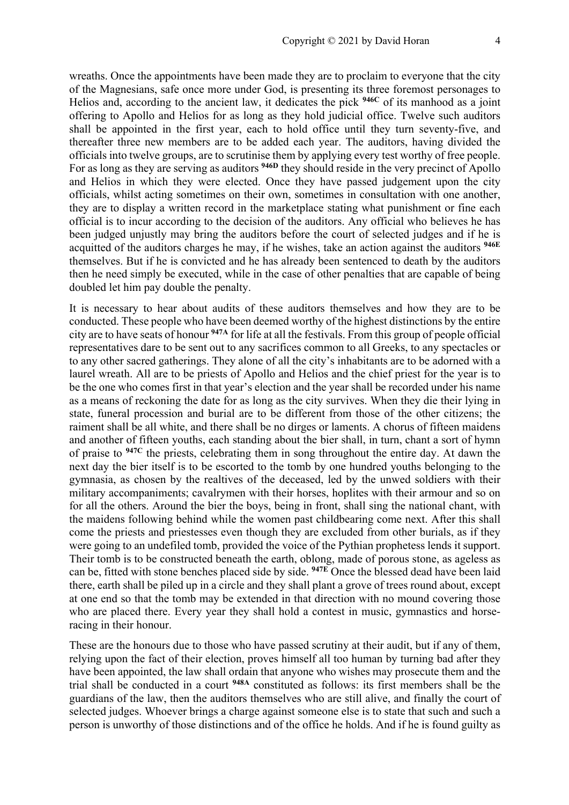wreaths. Once the appointments have been made they are to proclaim to everyone that the city of the Magnesians, safe once more under God, is presenting its three foremost personages to Helios and, according to the ancient law, it dedicates the pick **946C** of its manhood as a joint offering to Apollo and Helios for as long as they hold judicial office. Twelve such auditors shall be appointed in the first year, each to hold office until they turn seventy-five, and thereafter three new members are to be added each year. The auditors, having divided the officials into twelve groups, are to scrutinise them by applying every test worthy of free people. For as long as they are serving as auditors **946D** they should reside in the very precinct of Apollo and Helios in which they were elected. Once they have passed judgement upon the city officials, whilst acting sometimes on their own, sometimes in consultation with one another, they are to display a written record in the marketplace stating what punishment or fine each official is to incur according to the decision of the auditors. Any official who believes he has been judged unjustly may bring the auditors before the court of selected judges and if he is acquitted of the auditors charges he may, if he wishes, take an action against the auditors **946E** themselves. But if he is convicted and he has already been sentenced to death by the auditors then he need simply be executed, while in the case of other penalties that are capable of being doubled let him pay double the penalty.

It is necessary to hear about audits of these auditors themselves and how they are to be conducted. These people who have been deemed worthy of the highest distinctions by the entire city are to have seats of honour **947A** for life at all the festivals. From this group of people official representatives dare to be sent out to any sacrifices common to all Greeks, to any spectacles or to any other sacred gatherings. They alone of all the city's inhabitants are to be adorned with a laurel wreath. All are to be priests of Apollo and Helios and the chief priest for the year is to be the one who comes first in that year's election and the year shall be recorded under his name as a means of reckoning the date for as long as the city survives. When they die their lying in state, funeral procession and burial are to be different from those of the other citizens; the raiment shall be all white, and there shall be no dirges or laments. A chorus of fifteen maidens and another of fifteen youths, each standing about the bier shall, in turn, chant a sort of hymn of praise to **947C** the priests, celebrating them in song throughout the entire day. At dawn the next day the bier itself is to be escorted to the tomb by one hundred youths belonging to the gymnasia, as chosen by the realtives of the deceased, led by the unwed soldiers with their military accompaniments; cavalrymen with their horses, hoplites with their armour and so on for all the others. Around the bier the boys, being in front, shall sing the national chant, with the maidens following behind while the women past childbearing come next. After this shall come the priests and priestesses even though they are excluded from other burials, as if they were going to an undefiled tomb, provided the voice of the Pythian prophetess lends it support. Their tomb is to be constructed beneath the earth, oblong, made of porous stone, as ageless as can be, fitted with stone benches placed side by side. **947E** Once the blessed dead have been laid there, earth shall be piled up in a circle and they shall plant a grove of trees round about, except at one end so that the tomb may be extended in that direction with no mound covering those who are placed there. Every year they shall hold a contest in music, gymnastics and horseracing in their honour.

These are the honours due to those who have passed scrutiny at their audit, but if any of them, relying upon the fact of their election, proves himself all too human by turning bad after they have been appointed, the law shall ordain that anyone who wishes may prosecute them and the trial shall be conducted in a court **948A** constituted as follows: its first members shall be the guardians of the law, then the auditors themselves who are still alive, and finally the court of selected judges. Whoever brings a charge against someone else is to state that such and such a person is unworthy of those distinctions and of the office he holds. And if he is found guilty as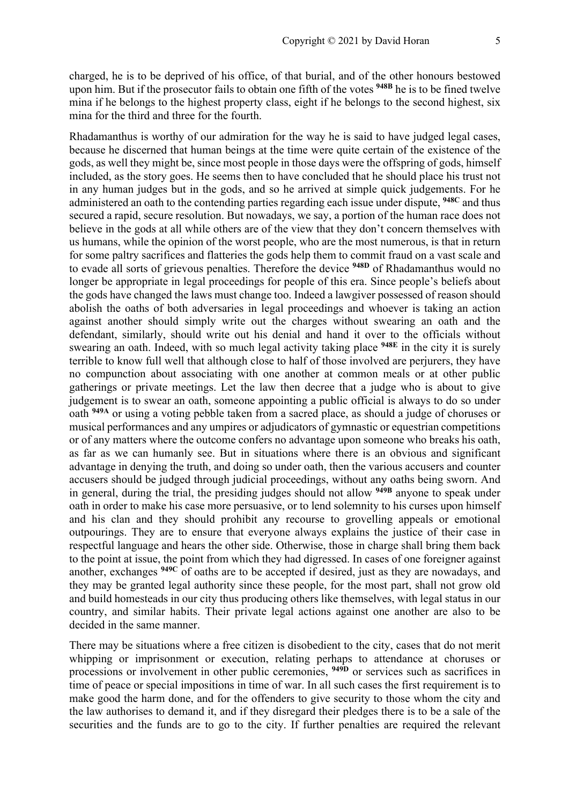charged, he is to be deprived of his office, of that burial, and of the other honours bestowed upon him. But if the prosecutor fails to obtain one fifth of the votes **948B** he is to be fined twelve mina if he belongs to the highest property class, eight if he belongs to the second highest, six mina for the third and three for the fourth.

Rhadamanthus is worthy of our admiration for the way he is said to have judged legal cases, because he discerned that human beings at the time were quite certain of the existence of the gods, as well they might be, since most people in those days were the offspring of gods, himself included, as the story goes. He seems then to have concluded that he should place his trust not in any human judges but in the gods, and so he arrived at simple quick judgements. For he administered an oath to the contending parties regarding each issue under dispute, **948C** and thus secured a rapid, secure resolution. But nowadays, we say, a portion of the human race does not believe in the gods at all while others are of the view that they don't concern themselves with us humans, while the opinion of the worst people, who are the most numerous, is that in return for some paltry sacrifices and flatteries the gods help them to commit fraud on a vast scale and to evade all sorts of grievous penalties. Therefore the device **948D** of Rhadamanthus would no longer be appropriate in legal proceedings for people of this era. Since people's beliefs about the gods have changed the laws must change too. Indeed a lawgiver possessed of reason should abolish the oaths of both adversaries in legal proceedings and whoever is taking an action against another should simply write out the charges without swearing an oath and the defendant, similarly, should write out his denial and hand it over to the officials without swearing an oath. Indeed, with so much legal activity taking place **948E** in the city it is surely terrible to know full well that although close to half of those involved are perjurers, they have no compunction about associating with one another at common meals or at other public gatherings or private meetings. Let the law then decree that a judge who is about to give judgement is to swear an oath, someone appointing a public official is always to do so under oath **949A** or using a voting pebble taken from a sacred place, as should a judge of choruses or musical performances and any umpires or adjudicators of gymnastic or equestrian competitions or of any matters where the outcome confers no advantage upon someone who breaks his oath, as far as we can humanly see. But in situations where there is an obvious and significant advantage in denying the truth, and doing so under oath, then the various accusers and counter accusers should be judged through judicial proceedings, without any oaths being sworn. And in general, during the trial, the presiding judges should not allow **949B** anyone to speak under oath in order to make his case more persuasive, or to lend solemnity to his curses upon himself and his clan and they should prohibit any recourse to grovelling appeals or emotional outpourings. They are to ensure that everyone always explains the justice of their case in respectful language and hears the other side. Otherwise, those in charge shall bring them back to the point at issue, the point from which they had digressed. In cases of one foreigner against another, exchanges **949C** of oaths are to be accepted if desired, just as they are nowadays, and they may be granted legal authority since these people, for the most part, shall not grow old and build homesteads in our city thus producing others like themselves, with legal status in our country, and similar habits. Their private legal actions against one another are also to be decided in the same manner.

There may be situations where a free citizen is disobedient to the city, cases that do not merit whipping or imprisonment or execution, relating perhaps to attendance at choruses or processions or involvement in other public ceremonies, **949D** or services such as sacrifices in time of peace or special impositions in time of war. In all such cases the first requirement is to make good the harm done, and for the offenders to give security to those whom the city and the law authorises to demand it, and if they disregard their pledges there is to be a sale of the securities and the funds are to go to the city. If further penalties are required the relevant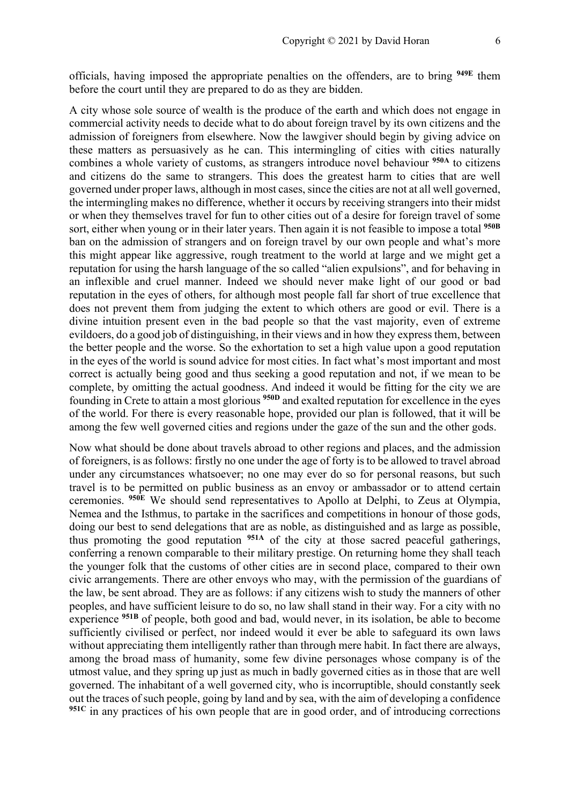officials, having imposed the appropriate penalties on the offenders, are to bring **949E** them before the court until they are prepared to do as they are bidden.

A city whose sole source of wealth is the produce of the earth and which does not engage in commercial activity needs to decide what to do about foreign travel by its own citizens and the admission of foreigners from elsewhere. Now the lawgiver should begin by giving advice on these matters as persuasively as he can. This intermingling of cities with cities naturally combines a whole variety of customs, as strangers introduce novel behaviour **950A** to citizens and citizens do the same to strangers. This does the greatest harm to cities that are well governed under proper laws, although in most cases, since the cities are not at all well governed, the intermingling makes no difference, whether it occurs by receiving strangers into their midst or when they themselves travel for fun to other cities out of a desire for foreign travel of some sort, either when young or in their later years. Then again it is not feasible to impose a total **950B** ban on the admission of strangers and on foreign travel by our own people and what's more this might appear like aggressive, rough treatment to the world at large and we might get a reputation for using the harsh language of the so called "alien expulsions", and for behaving in an inflexible and cruel manner. Indeed we should never make light of our good or bad reputation in the eyes of others, for although most people fall far short of true excellence that does not prevent them from judging the extent to which others are good or evil. There is a divine intuition present even in the bad people so that the vast majority, even of extreme evildoers, do a good job of distinguishing, in their views and in how they express them, between the better people and the worse. So the exhortation to set a high value upon a good reputation in the eyes of the world is sound advice for most cities. In fact what's most important and most correct is actually being good and thus seeking a good reputation and not, if we mean to be complete, by omitting the actual goodness. And indeed it would be fitting for the city we are founding in Crete to attain a most glorious **950D** and exalted reputation for excellence in the eyes of the world. For there is every reasonable hope, provided our plan is followed, that it will be among the few well governed cities and regions under the gaze of the sun and the other gods.

Now what should be done about travels abroad to other regions and places, and the admission of foreigners, is as follows: firstly no one under the age of forty is to be allowed to travel abroad under any circumstances whatsoever; no one may ever do so for personal reasons, but such travel is to be permitted on public business as an envoy or ambassador or to attend certain ceremonies. **950E** We should send representatives to Apollo at Delphi, to Zeus at Olympia, Nemea and the Isthmus, to partake in the sacrifices and competitions in honour of those gods, doing our best to send delegations that are as noble, as distinguished and as large as possible, thus promoting the good reputation **951A** of the city at those sacred peaceful gatherings, conferring a renown comparable to their military prestige. On returning home they shall teach the younger folk that the customs of other cities are in second place, compared to their own civic arrangements. There are other envoys who may, with the permission of the guardians of the law, be sent abroad. They are as follows: if any citizens wish to study the manners of other peoples, and have sufficient leisure to do so, no law shall stand in their way. For a city with no experience **951B** of people, both good and bad, would never, in its isolation, be able to become sufficiently civilised or perfect, nor indeed would it ever be able to safeguard its own laws without appreciating them intelligently rather than through mere habit. In fact there are always, among the broad mass of humanity, some few divine personages whose company is of the utmost value, and they spring up just as much in badly governed cities as in those that are well governed. The inhabitant of a well governed city, who is incorruptible, should constantly seek out the traces of such people, going by land and by sea, with the aim of developing a confidence **951C** in any practices of his own people that are in good order, and of introducing corrections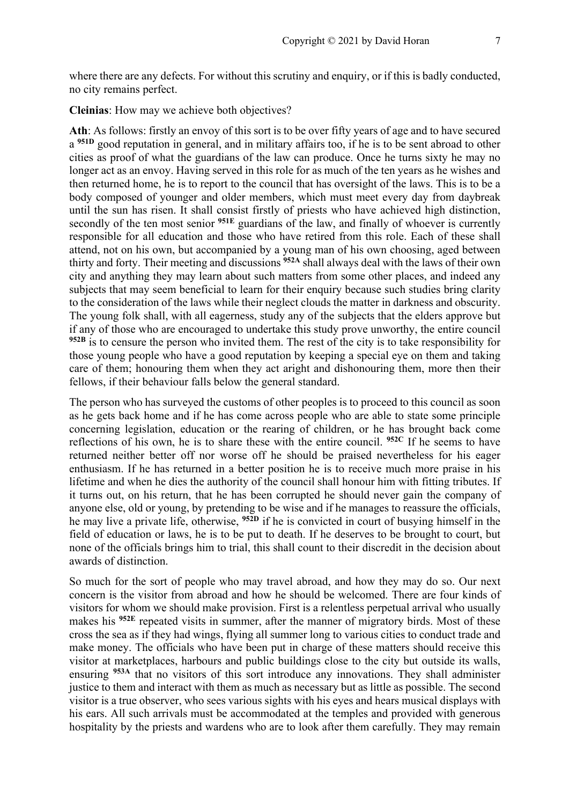where there are any defects. For without this scrutiny and enquiry, or if this is badly conducted, no city remains perfect.

**Cleinias**: How may we achieve both objectives?

**Ath**: As follows: firstly an envoy of this sort is to be over fifty years of age and to have secured a **951D** good reputation in general, and in military affairs too, if he is to be sent abroad to other cities as proof of what the guardians of the law can produce. Once he turns sixty he may no longer act as an envoy. Having served in this role for as much of the ten years as he wishes and then returned home, he is to report to the council that has oversight of the laws. This is to be a body composed of younger and older members, which must meet every day from daybreak until the sun has risen. It shall consist firstly of priests who have achieved high distinction, secondly of the ten most senior <sup>951E</sup> guardians of the law, and finally of whoever is currently responsible for all education and those who have retired from this role. Each of these shall attend, not on his own, but accompanied by a young man of his own choosing, aged between thirty and forty. Their meeting and discussions **952A** shall always deal with the laws of their own city and anything they may learn about such matters from some other places, and indeed any subjects that may seem beneficial to learn for their enquiry because such studies bring clarity to the consideration of the laws while their neglect clouds the matter in darkness and obscurity. The young folk shall, with all eagerness, study any of the subjects that the elders approve but if any of those who are encouraged to undertake this study prove unworthy, the entire council **952B** is to censure the person who invited them. The rest of the city is to take responsibility for those young people who have a good reputation by keeping a special eye on them and taking care of them; honouring them when they act aright and dishonouring them, more then their fellows, if their behaviour falls below the general standard.

The person who has surveyed the customs of other peoples is to proceed to this council as soon as he gets back home and if he has come across people who are able to state some principle concerning legislation, education or the rearing of children, or he has brought back come reflections of his own, he is to share these with the entire council. **952C** If he seems to have returned neither better off nor worse off he should be praised nevertheless for his eager enthusiasm. If he has returned in a better position he is to receive much more praise in his lifetime and when he dies the authority of the council shall honour him with fitting tributes. If it turns out, on his return, that he has been corrupted he should never gain the company of anyone else, old or young, by pretending to be wise and if he manages to reassure the officials, he may live a private life, otherwise, **952D** if he is convicted in court of busying himself in the field of education or laws, he is to be put to death. If he deserves to be brought to court, but none of the officials brings him to trial, this shall count to their discredit in the decision about awards of distinction.

So much for the sort of people who may travel abroad, and how they may do so. Our next concern is the visitor from abroad and how he should be welcomed. There are four kinds of visitors for whom we should make provision. First is a relentless perpetual arrival who usually makes his **952E** repeated visits in summer, after the manner of migratory birds. Most of these cross the sea as if they had wings, flying all summer long to various cities to conduct trade and make money. The officials who have been put in charge of these matters should receive this visitor at marketplaces, harbours and public buildings close to the city but outside its walls, ensuring **953A** that no visitors of this sort introduce any innovations. They shall administer justice to them and interact with them as much as necessary but as little as possible. The second visitor is a true observer, who sees various sights with his eyes and hears musical displays with his ears. All such arrivals must be accommodated at the temples and provided with generous hospitality by the priests and wardens who are to look after them carefully. They may remain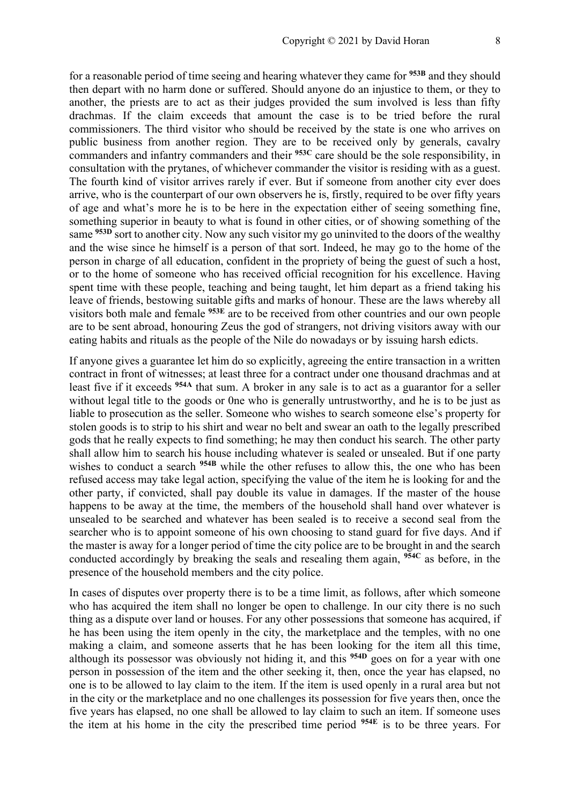for a reasonable period of time seeing and hearing whatever they came for **953B** and they should then depart with no harm done or suffered. Should anyone do an injustice to them, or they to another, the priests are to act as their judges provided the sum involved is less than fifty drachmas. If the claim exceeds that amount the case is to be tried before the rural commissioners. The third visitor who should be received by the state is one who arrives on public business from another region. They are to be received only by generals, cavalry commanders and infantry commanders and their **953C** care should be the sole responsibility, in consultation with the prytanes, of whichever commander the visitor is residing with as a guest. The fourth kind of visitor arrives rarely if ever. But if someone from another city ever does arrive, who is the counterpart of our own observers he is, firstly, required to be over fifty years of age and what's more he is to be here in the expectation either of seeing something fine, something superior in beauty to what is found in other cities, or of showing something of the same **953D** sort to another city. Now any such visitor my go uninvited to the doors of the wealthy and the wise since he himself is a person of that sort. Indeed, he may go to the home of the person in charge of all education, confident in the propriety of being the guest of such a host, or to the home of someone who has received official recognition for his excellence. Having spent time with these people, teaching and being taught, let him depart as a friend taking his leave of friends, bestowing suitable gifts and marks of honour. These are the laws whereby all visitors both male and female **953E** are to be received from other countries and our own people are to be sent abroad, honouring Zeus the god of strangers, not driving visitors away with our eating habits and rituals as the people of the Nile do nowadays or by issuing harsh edicts.

If anyone gives a guarantee let him do so explicitly, agreeing the entire transaction in a written contract in front of witnesses; at least three for a contract under one thousand drachmas and at least five if it exceeds **954A** that sum. A broker in any sale is to act as a guarantor for a seller without legal title to the goods or 0ne who is generally untrustworthy, and he is to be just as liable to prosecution as the seller. Someone who wishes to search someone else's property for stolen goods is to strip to his shirt and wear no belt and swear an oath to the legally prescribed gods that he really expects to find something; he may then conduct his search. The other party shall allow him to search his house including whatever is sealed or unsealed. But if one party wishes to conduct a search <sup>954B</sup> while the other refuses to allow this, the one who has been refused access may take legal action, specifying the value of the item he is looking for and the other party, if convicted, shall pay double its value in damages. If the master of the house happens to be away at the time, the members of the household shall hand over whatever is unsealed to be searched and whatever has been sealed is to receive a second seal from the searcher who is to appoint someone of his own choosing to stand guard for five days. And if the master is away for a longer period of time the city police are to be brought in and the search conducted accordingly by breaking the seals and resealing them again, **954C** as before, in the presence of the household members and the city police.

In cases of disputes over property there is to be a time limit, as follows, after which someone who has acquired the item shall no longer be open to challenge. In our city there is no such thing as a dispute over land or houses. For any other possessions that someone has acquired, if he has been using the item openly in the city, the marketplace and the temples, with no one making a claim, and someone asserts that he has been looking for the item all this time, although its possessor was obviously not hiding it, and this **954D** goes on for a year with one person in possession of the item and the other seeking it, then, once the year has elapsed, no one is to be allowed to lay claim to the item. If the item is used openly in a rural area but not in the city or the marketplace and no one challenges its possession for five years then, once the five years has elapsed, no one shall be allowed to lay claim to such an item. If someone uses the item at his home in the city the prescribed time period **954E** is to be three years. For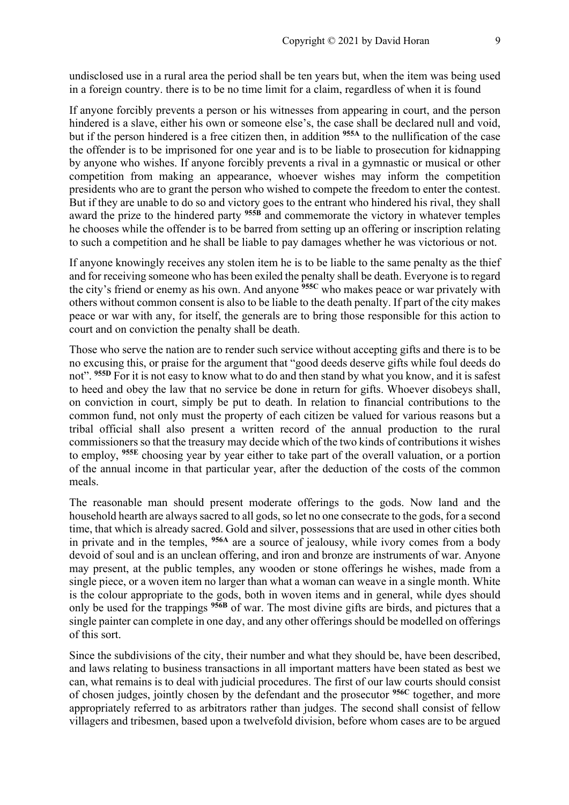undisclosed use in a rural area the period shall be ten years but, when the item was being used in a foreign country. there is to be no time limit for a claim, regardless of when it is found

If anyone forcibly prevents a person or his witnesses from appearing in court, and the person hindered is a slave, either his own or someone else's, the case shall be declared null and void, but if the person hindered is a free citizen then, in addition **955A** to the nullification of the case the offender is to be imprisoned for one year and is to be liable to prosecution for kidnapping by anyone who wishes. If anyone forcibly prevents a rival in a gymnastic or musical or other competition from making an appearance, whoever wishes may inform the competition presidents who are to grant the person who wished to compete the freedom to enter the contest. But if they are unable to do so and victory goes to the entrant who hindered his rival, they shall award the prize to the hindered party **955B** and commemorate the victory in whatever temples he chooses while the offender is to be barred from setting up an offering or inscription relating to such a competition and he shall be liable to pay damages whether he was victorious or not.

If anyone knowingly receives any stolen item he is to be liable to the same penalty as the thief and for receiving someone who has been exiled the penalty shall be death. Everyone is to regard the city's friend or enemy as his own. And anyone **955C** who makes peace or war privately with others without common consent is also to be liable to the death penalty. If part of the city makes peace or war with any, for itself, the generals are to bring those responsible for this action to court and on conviction the penalty shall be death.

Those who serve the nation are to render such service without accepting gifts and there is to be no excusing this, or praise for the argument that "good deeds deserve gifts while foul deeds do not". **955D** For it is not easy to know what to do and then stand by what you know, and it is safest to heed and obey the law that no service be done in return for gifts. Whoever disobeys shall, on conviction in court, simply be put to death. In relation to financial contributions to the common fund, not only must the property of each citizen be valued for various reasons but a tribal official shall also present a written record of the annual production to the rural commissioners so that the treasury may decide which of the two kinds of contributions it wishes to employ, **955E** choosing year by year either to take part of the overall valuation, or a portion of the annual income in that particular year, after the deduction of the costs of the common meals.

The reasonable man should present moderate offerings to the gods. Now land and the household hearth are always sacred to all gods, so let no one consecrate to the gods, for a second time, that which is already sacred. Gold and silver, possessions that are used in other cities both in private and in the temples, **956A** are a source of jealousy, while ivory comes from a body devoid of soul and is an unclean offering, and iron and bronze are instruments of war. Anyone may present, at the public temples, any wooden or stone offerings he wishes, made from a single piece, or a woven item no larger than what a woman can weave in a single month. White is the colour appropriate to the gods, both in woven items and in general, while dyes should only be used for the trappings **956B** of war. The most divine gifts are birds, and pictures that a single painter can complete in one day, and any other offerings should be modelled on offerings of this sort.

Since the subdivisions of the city, their number and what they should be, have been described, and laws relating to business transactions in all important matters have been stated as best we can, what remains is to deal with judicial procedures. The first of our law courts should consist of chosen judges, jointly chosen by the defendant and the prosecutor **956C** together, and more appropriately referred to as arbitrators rather than judges. The second shall consist of fellow villagers and tribesmen, based upon a twelvefold division, before whom cases are to be argued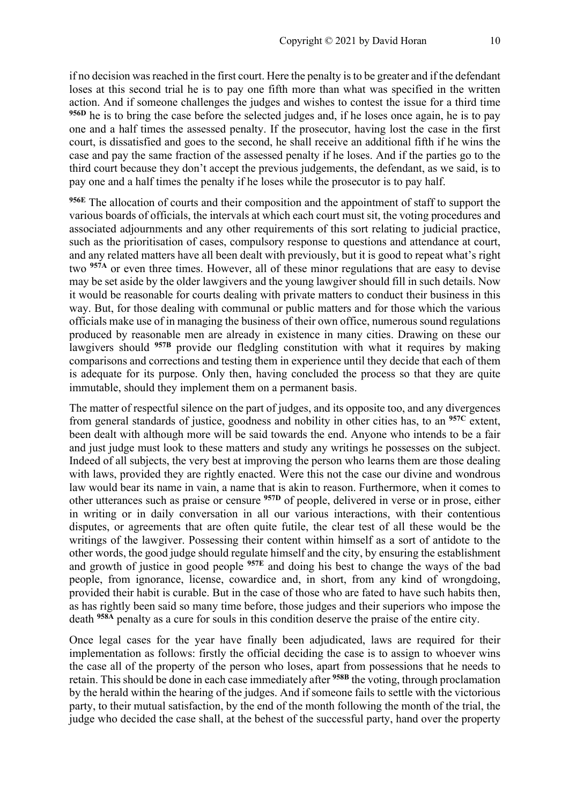if no decision was reached in the first court. Here the penalty is to be greater and if the defendant loses at this second trial he is to pay one fifth more than what was specified in the written action. And if someone challenges the judges and wishes to contest the issue for a third time **956D** he is to bring the case before the selected judges and, if he loses once again, he is to pay one and a half times the assessed penalty. If the prosecutor, having lost the case in the first court, is dissatisfied and goes to the second, he shall receive an additional fifth if he wins the case and pay the same fraction of the assessed penalty if he loses. And if the parties go to the third court because they don't accept the previous judgements, the defendant, as we said, is to pay one and a half times the penalty if he loses while the prosecutor is to pay half.

**956E** The allocation of courts and their composition and the appointment of staff to support the various boards of officials, the intervals at which each court must sit, the voting procedures and associated adjournments and any other requirements of this sort relating to judicial practice, such as the prioritisation of cases, compulsory response to questions and attendance at court, and any related matters have all been dealt with previously, but it is good to repeat what's right two **957A** or even three times. However, all of these minor regulations that are easy to devise may be set aside by the older lawgivers and the young lawgiver should fill in such details. Now it would be reasonable for courts dealing with private matters to conduct their business in this way. But, for those dealing with communal or public matters and for those which the various officials make use of in managing the business of their own office, numerous sound regulations produced by reasonable men are already in existence in many cities. Drawing on these our lawgivers should <sup>957B</sup> provide our fledgling constitution with what it requires by making comparisons and corrections and testing them in experience until they decide that each of them is adequate for its purpose. Only then, having concluded the process so that they are quite immutable, should they implement them on a permanent basis.

The matter of respectful silence on the part of judges, and its opposite too, and any divergences from general standards of justice, goodness and nobility in other cities has, to an **957C** extent, been dealt with although more will be said towards the end. Anyone who intends to be a fair and just judge must look to these matters and study any writings he possesses on the subject. Indeed of all subjects, the very best at improving the person who learns them are those dealing with laws, provided they are rightly enacted. Were this not the case our divine and wondrous law would bear its name in vain, a name that is akin to reason. Furthermore, when it comes to other utterances such as praise or censure **957D** of people, delivered in verse or in prose, either in writing or in daily conversation in all our various interactions, with their contentious disputes, or agreements that are often quite futile, the clear test of all these would be the writings of the lawgiver. Possessing their content within himself as a sort of antidote to the other words, the good judge should regulate himself and the city, by ensuring the establishment and growth of justice in good people **957E** and doing his best to change the ways of the bad people, from ignorance, license, cowardice and, in short, from any kind of wrongdoing, provided their habit is curable. But in the case of those who are fated to have such habits then, as has rightly been said so many time before, those judges and their superiors who impose the death **958A** penalty as a cure for souls in this condition deserve the praise of the entire city.

Once legal cases for the year have finally been adjudicated, laws are required for their implementation as follows: firstly the official deciding the case is to assign to whoever wins the case all of the property of the person who loses, apart from possessions that he needs to retain. This should be done in each case immediately after **958B** the voting, through proclamation by the herald within the hearing of the judges. And if someone fails to settle with the victorious party, to their mutual satisfaction, by the end of the month following the month of the trial, the judge who decided the case shall, at the behest of the successful party, hand over the property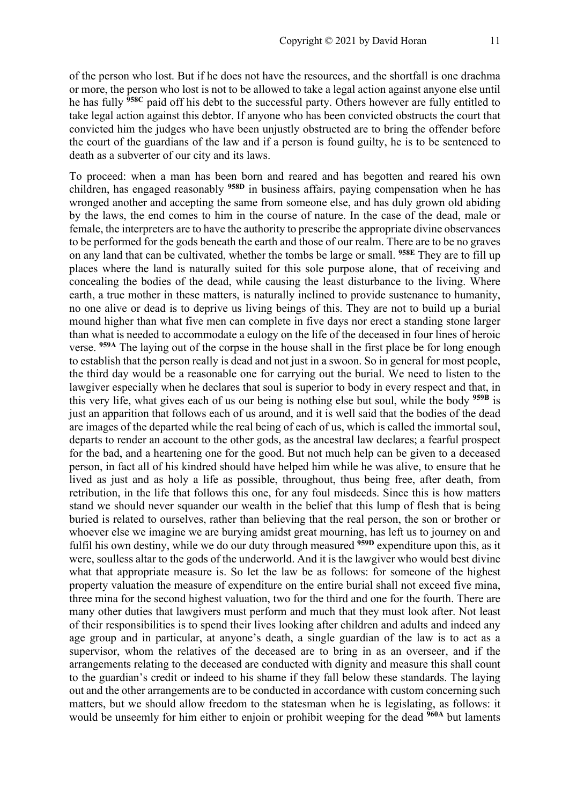of the person who lost. But if he does not have the resources, and the shortfall is one drachma or more, the person who lost is not to be allowed to take a legal action against anyone else until he has fully **958C** paid off his debt to the successful party. Others however are fully entitled to take legal action against this debtor. If anyone who has been convicted obstructs the court that convicted him the judges who have been unjustly obstructed are to bring the offender before the court of the guardians of the law and if a person is found guilty, he is to be sentenced to death as a subverter of our city and its laws.

To proceed: when a man has been born and reared and has begotten and reared his own children, has engaged reasonably **958D** in business affairs, paying compensation when he has wronged another and accepting the same from someone else, and has duly grown old abiding by the laws, the end comes to him in the course of nature. In the case of the dead, male or female, the interpreters are to have the authority to prescribe the appropriate divine observances to be performed for the gods beneath the earth and those of our realm. There are to be no graves on any land that can be cultivated, whether the tombs be large or small. **958E** They are to fill up places where the land is naturally suited for this sole purpose alone, that of receiving and concealing the bodies of the dead, while causing the least disturbance to the living. Where earth, a true mother in these matters, is naturally inclined to provide sustenance to humanity, no one alive or dead is to deprive us living beings of this. They are not to build up a burial mound higher than what five men can complete in five days nor erect a standing stone larger than what is needed to accommodate a eulogy on the life of the deceased in four lines of heroic verse. **959A** The laying out of the corpse in the house shall in the first place be for long enough to establish that the person really is dead and not just in a swoon. So in general for most people, the third day would be a reasonable one for carrying out the burial. We need to listen to the lawgiver especially when he declares that soul is superior to body in every respect and that, in this very life, what gives each of us our being is nothing else but soul, while the body **959B** is just an apparition that follows each of us around, and it is well said that the bodies of the dead are images of the departed while the real being of each of us, which is called the immortal soul, departs to render an account to the other gods, as the ancestral law declares; a fearful prospect for the bad, and a heartening one for the good. But not much help can be given to a deceased person, in fact all of his kindred should have helped him while he was alive, to ensure that he lived as just and as holy a life as possible, throughout, thus being free, after death, from retribution, in the life that follows this one, for any foul misdeeds. Since this is how matters stand we should never squander our wealth in the belief that this lump of flesh that is being buried is related to ourselves, rather than believing that the real person, the son or brother or whoever else we imagine we are burying amidst great mourning, has left us to journey on and fulfil his own destiny, while we do our duty through measured **959D** expenditure upon this, as it were, soulless altar to the gods of the underworld. And it is the lawgiver who would best divine what that appropriate measure is. So let the law be as follows: for someone of the highest property valuation the measure of expenditure on the entire burial shall not exceed five mina, three mina for the second highest valuation, two for the third and one for the fourth. There are many other duties that lawgivers must perform and much that they must look after. Not least of their responsibilities is to spend their lives looking after children and adults and indeed any age group and in particular, at anyone's death, a single guardian of the law is to act as a supervisor, whom the relatives of the deceased are to bring in as an overseer, and if the arrangements relating to the deceased are conducted with dignity and measure this shall count to the guardian's credit or indeed to his shame if they fall below these standards. The laying out and the other arrangements are to be conducted in accordance with custom concerning such matters, but we should allow freedom to the statesman when he is legislating, as follows: it would be unseemly for him either to enjoin or prohibit weeping for the dead **960A** but laments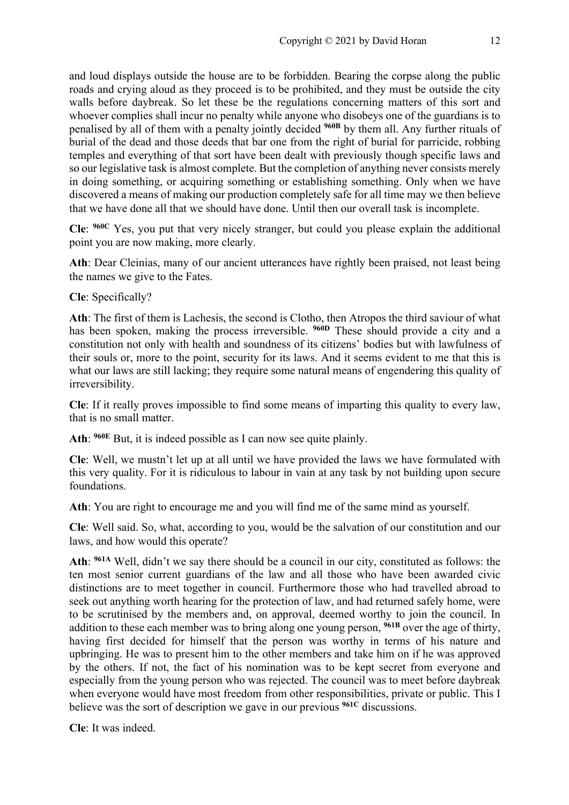and loud displays outside the house are to be forbidden. Bearing the corpse along the public roads and crying aloud as they proceed is to be prohibited, and they must be outside the city walls before daybreak. So let these be the regulations concerning matters of this sort and whoever complies shall incur no penalty while anyone who disobeys one of the guardians is to penalised by all of them with a penalty jointly decided **960B** by them all. Any further rituals of burial of the dead and those deeds that bar one from the right of burial for parricide, robbing temples and everything of that sort have been dealt with previously though specific laws and so our legislative task is almost complete. But the completion of anything never consists merely in doing something, or acquiring something or establishing something. Only when we have discovered a means of making our production completely safe for all time may we then believe that we have done all that we should have done. Until then our overall task is incomplete.

**Cle**: **960C** Yes, you put that very nicely stranger, but could you please explain the additional point you are now making, more clearly.

**Ath**: Dear Cleinias, many of our ancient utterances have rightly been praised, not least being the names we give to the Fates.

**Cle**: Specifically?

**Ath**: The first of them is Lachesis, the second is Clotho, then Atropos the third saviour of what has been spoken, making the process irreversible. **960D** These should provide a city and a constitution not only with health and soundness of its citizens' bodies but with lawfulness of their souls or, more to the point, security for its laws. And it seems evident to me that this is what our laws are still lacking; they require some natural means of engendering this quality of irreversibility.

**Cle**: If it really proves impossible to find some means of imparting this quality to every law, that is no small matter.

**Ath**: **960E** But, it is indeed possible as I can now see quite plainly.

**Cle**: Well, we mustn't let up at all until we have provided the laws we have formulated with this very quality. For it is ridiculous to labour in vain at any task by not building upon secure foundations.

**Ath**: You are right to encourage me and you will find me of the same mind as yourself.

**Cle**: Well said. So, what, according to you, would be the salvation of our constitution and our laws, and how would this operate?

**Ath**: **961A** Well, didn't we say there should be a council in our city, constituted as follows: the ten most senior current guardians of the law and all those who have been awarded civic distinctions are to meet together in council. Furthermore those who had travelled abroad to seek out anything worth hearing for the protection of law, and had returned safely home, were to be scrutinised by the members and, on approval, deemed worthy to join the council. In addition to these each member was to bring along one young person, **961B** over the age of thirty, having first decided for himself that the person was worthy in terms of his nature and upbringing. He was to present him to the other members and take him on if he was approved by the others. If not, the fact of his nomination was to be kept secret from everyone and especially from the young person who was rejected. The council was to meet before daybreak when everyone would have most freedom from other responsibilities, private or public. This I believe was the sort of description we gave in our previous **961C** discussions.

**Cle**: It was indeed.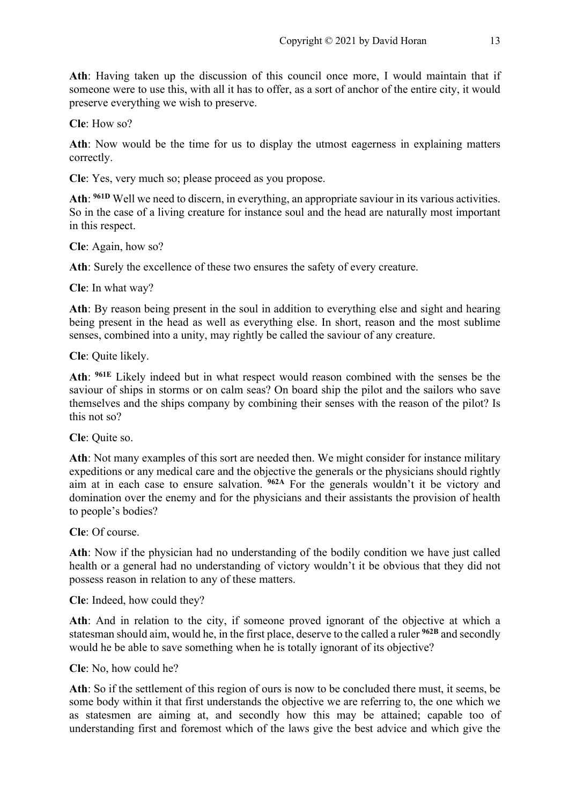**Ath**: Having taken up the discussion of this council once more, I would maintain that if someone were to use this, with all it has to offer, as a sort of anchor of the entire city, it would preserve everything we wish to preserve.

**Cle**: How so?

**Ath**: Now would be the time for us to display the utmost eagerness in explaining matters correctly.

**Cle**: Yes, very much so; please proceed as you propose.

**Ath**: **961D** Well we need to discern, in everything, an appropriate saviour in its various activities. So in the case of a living creature for instance soul and the head are naturally most important in this respect.

**Cle**: Again, how so?

**Ath**: Surely the excellence of these two ensures the safety of every creature.

**Cle**: In what way?

**Ath**: By reason being present in the soul in addition to everything else and sight and hearing being present in the head as well as everything else. In short, reason and the most sublime senses, combined into a unity, may rightly be called the saviour of any creature.

**Cle**: Quite likely.

**Ath**: **961E** Likely indeed but in what respect would reason combined with the senses be the saviour of ships in storms or on calm seas? On board ship the pilot and the sailors who save themselves and the ships company by combining their senses with the reason of the pilot? Is this not so?

**Cle**: Quite so.

**Ath**: Not many examples of this sort are needed then. We might consider for instance military expeditions or any medical care and the objective the generals or the physicians should rightly aim at in each case to ensure salvation. **962A** For the generals wouldn't it be victory and domination over the enemy and for the physicians and their assistants the provision of health to people's bodies?

**Cle**: Of course.

**Ath**: Now if the physician had no understanding of the bodily condition we have just called health or a general had no understanding of victory wouldn't it be obvious that they did not possess reason in relation to any of these matters.

**Cle**: Indeed, how could they?

**Ath**: And in relation to the city, if someone proved ignorant of the objective at which a statesman should aim, would he, in the first place, deserve to the called a ruler **962B** and secondly would he be able to save something when he is totally ignorant of its objective?

**Cle**: No, how could he?

**Ath**: So if the settlement of this region of ours is now to be concluded there must, it seems, be some body within it that first understands the objective we are referring to, the one which we as statesmen are aiming at, and secondly how this may be attained; capable too of understanding first and foremost which of the laws give the best advice and which give the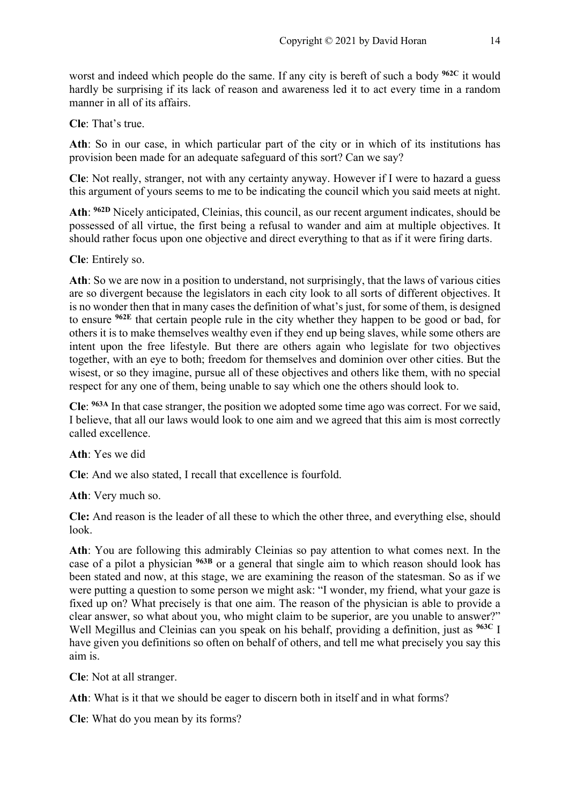worst and indeed which people do the same. If any city is bereft of such a body **962C** it would hardly be surprising if its lack of reason and awareness led it to act every time in a random manner in all of its affairs.

**Cle**: That's true.

**Ath**: So in our case, in which particular part of the city or in which of its institutions has provision been made for an adequate safeguard of this sort? Can we say?

**Cle**: Not really, stranger, not with any certainty anyway. However if I were to hazard a guess this argument of yours seems to me to be indicating the council which you said meets at night.

**Ath**: **962D** Nicely anticipated, Cleinias, this council, as our recent argument indicates, should be possessed of all virtue, the first being a refusal to wander and aim at multiple objectives. It should rather focus upon one objective and direct everything to that as if it were firing darts.

**Cle**: Entirely so.

**Ath**: So we are now in a position to understand, not surprisingly, that the laws of various cities are so divergent because the legislators in each city look to all sorts of different objectives. It is no wonder then that in many cases the definition of what's just, for some of them, is designed to ensure **962E** that certain people rule in the city whether they happen to be good or bad, for others it is to make themselves wealthy even if they end up being slaves, while some others are intent upon the free lifestyle. But there are others again who legislate for two objectives together, with an eye to both; freedom for themselves and dominion over other cities. But the wisest, or so they imagine, pursue all of these objectives and others like them, with no special respect for any one of them, being unable to say which one the others should look to.

**Cle**: **963A** In that case stranger, the position we adopted some time ago was correct. For we said, I believe, that all our laws would look to one aim and we agreed that this aim is most correctly called excellence.

**Ath**: Yes we did

**Cle**: And we also stated, I recall that excellence is fourfold.

**Ath**: Very much so.

**Cle:** And reason is the leader of all these to which the other three, and everything else, should look.

**Ath**: You are following this admirably Cleinias so pay attention to what comes next. In the case of a pilot a physician **963B** or a general that single aim to which reason should look has been stated and now, at this stage, we are examining the reason of the statesman. So as if we were putting a question to some person we might ask: "I wonder, my friend, what your gaze is fixed up on? What precisely is that one aim. The reason of the physician is able to provide a clear answer, so what about you, who might claim to be superior, are you unable to answer?" Well Megillus and Cleinias can you speak on his behalf, providing a definition, just as **963C** I have given you definitions so often on behalf of others, and tell me what precisely you say this aim is.

**Cle**: Not at all stranger.

**Ath**: What is it that we should be eager to discern both in itself and in what forms?

**Cle**: What do you mean by its forms?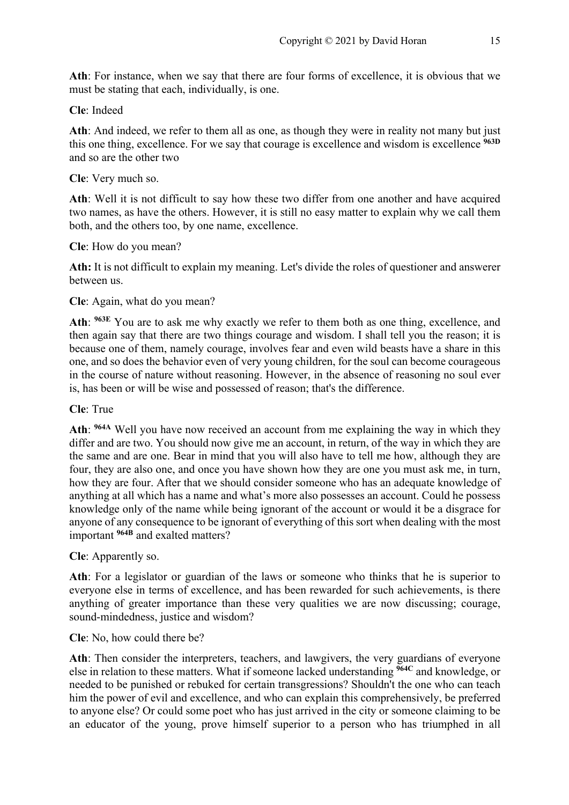**Ath**: For instance, when we say that there are four forms of excellence, it is obvious that we must be stating that each, individually, is one.

#### **Cle**: Indeed

**Ath**: And indeed, we refer to them all as one, as though they were in reality not many but just this one thing, excellence. For we say that courage is excellence and wisdom is excellence **963D** and so are the other two

#### **Cle**: Very much so.

**Ath**: Well it is not difficult to say how these two differ from one another and have acquired two names, as have the others. However, it is still no easy matter to explain why we call them both, and the others too, by one name, excellence.

#### **Cle**: How do you mean?

**Ath:** It is not difficult to explain my meaning. Let's divide the roles of questioner and answerer between us.

#### **Cle**: Again, what do you mean?

**Ath**: **963E** You are to ask me why exactly we refer to them both as one thing, excellence, and then again say that there are two things courage and wisdom. I shall tell you the reason; it is because one of them, namely courage, involves fear and even wild beasts have a share in this one, and so does the behavior even of very young children, for the soul can become courageous in the course of nature without reasoning. However, in the absence of reasoning no soul ever is, has been or will be wise and possessed of reason; that's the difference.

#### **Cle**: True

**Ath**: **964A** Well you have now received an account from me explaining the way in which they differ and are two. You should now give me an account, in return, of the way in which they are the same and are one. Bear in mind that you will also have to tell me how, although they are four, they are also one, and once you have shown how they are one you must ask me, in turn, how they are four. After that we should consider someone who has an adequate knowledge of anything at all which has a name and what's more also possesses an account. Could he possess knowledge only of the name while being ignorant of the account or would it be a disgrace for anyone of any consequence to be ignorant of everything of this sort when dealing with the most important **964B** and exalted matters?

### **Cle**: Apparently so.

**Ath**: For a legislator or guardian of the laws or someone who thinks that he is superior to everyone else in terms of excellence, and has been rewarded for such achievements, is there anything of greater importance than these very qualities we are now discussing; courage, sound-mindedness, justice and wisdom?

#### **Cle**: No, how could there be?

Ath: Then consider the interpreters, teachers, and lawgivers, the very guardians of everyone else in relation to these matters. What if someone lacked understanding **964C** and knowledge, or needed to be punished or rebuked for certain transgressions? Shouldn't the one who can teach him the power of evil and excellence, and who can explain this comprehensively, be preferred to anyone else? Or could some poet who has just arrived in the city or someone claiming to be an educator of the young, prove himself superior to a person who has triumphed in all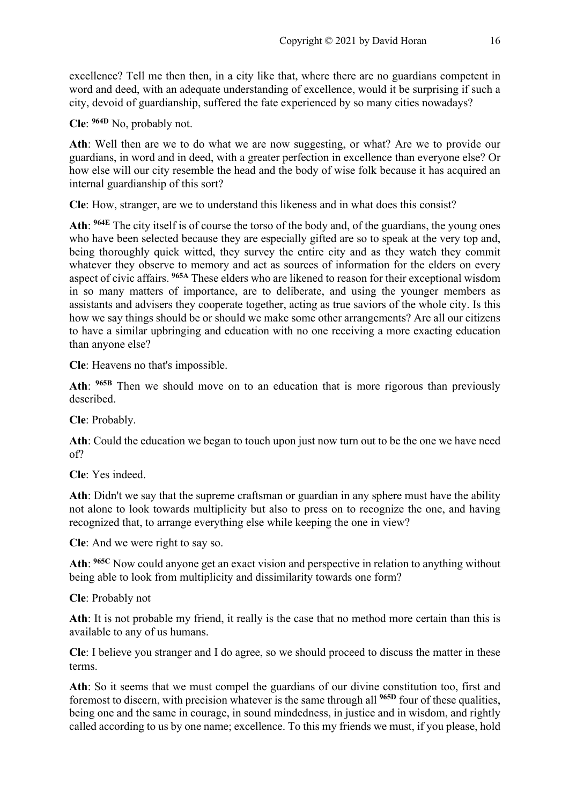excellence? Tell me then then, in a city like that, where there are no guardians competent in word and deed, with an adequate understanding of excellence, would it be surprising if such a city, devoid of guardianship, suffered the fate experienced by so many cities nowadays?

**Cle**: **964D** No, probably not.

**Ath**: Well then are we to do what we are now suggesting, or what? Are we to provide our guardians, in word and in deed, with a greater perfection in excellence than everyone else? Or how else will our city resemble the head and the body of wise folk because it has acquired an internal guardianship of this sort?

**Cle**: How, stranger, are we to understand this likeness and in what does this consist?

**Ath**: **964E** The city itself is of course the torso of the body and, of the guardians, the young ones who have been selected because they are especially gifted are so to speak at the very top and, being thoroughly quick witted, they survey the entire city and as they watch they commit whatever they observe to memory and act as sources of information for the elders on every aspect of civic affairs. **965A** These elders who are likened to reason for their exceptional wisdom in so many matters of importance, are to deliberate, and using the younger members as assistants and advisers they cooperate together, acting as true saviors of the whole city. Is this how we say things should be or should we make some other arrangements? Are all our citizens to have a similar upbringing and education with no one receiving a more exacting education than anyone else?

**Cle**: Heavens no that's impossible.

**Ath**: **965B** Then we should move on to an education that is more rigorous than previously described.

**Cle**: Probably.

**Ath**: Could the education we began to touch upon just now turn out to be the one we have need of?

**Cle**: Yes indeed.

**Ath**: Didn't we say that the supreme craftsman or guardian in any sphere must have the ability not alone to look towards multiplicity but also to press on to recognize the one, and having recognized that, to arrange everything else while keeping the one in view?

**Cle**: And we were right to say so.

**Ath**: **965C** Now could anyone get an exact vision and perspective in relation to anything without being able to look from multiplicity and dissimilarity towards one form?

**Cle**: Probably not

**Ath**: It is not probable my friend, it really is the case that no method more certain than this is available to any of us humans.

**Cle**: I believe you stranger and I do agree, so we should proceed to discuss the matter in these terms.

**Ath**: So it seems that we must compel the guardians of our divine constitution too, first and foremost to discern, with precision whatever is the same through all **965D** four of these qualities, being one and the same in courage, in sound mindedness, in justice and in wisdom, and rightly called according to us by one name; excellence. To this my friends we must, if you please, hold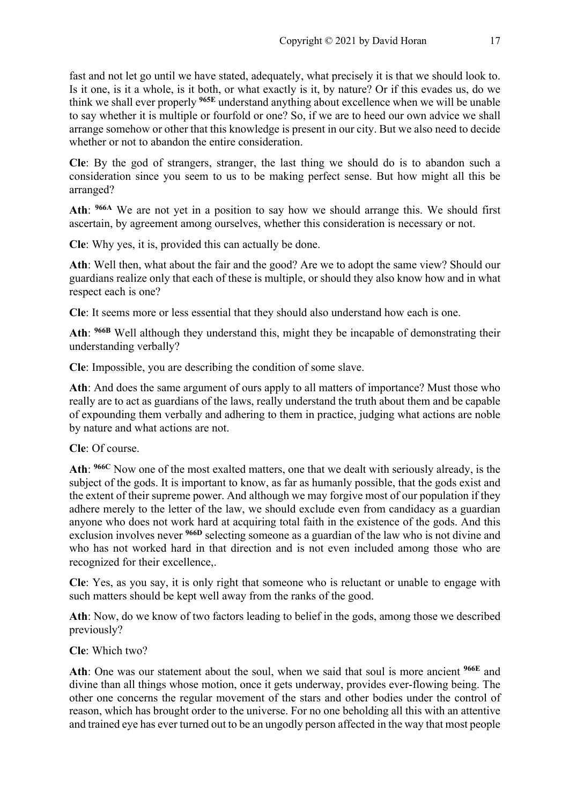fast and not let go until we have stated, adequately, what precisely it is that we should look to. Is it one, is it a whole, is it both, or what exactly is it, by nature? Or if this evades us, do we think we shall ever properly **965E** understand anything about excellence when we will be unable to say whether it is multiple or fourfold or one? So, if we are to heed our own advice we shall arrange somehow or other that this knowledge is present in our city. But we also need to decide whether or not to abandon the entire consideration.

**Cle**: By the god of strangers, stranger, the last thing we should do is to abandon such a consideration since you seem to us to be making perfect sense. But how might all this be arranged?

**Ath**: **966A** We are not yet in a position to say how we should arrange this. We should first ascertain, by agreement among ourselves, whether this consideration is necessary or not.

**Cle**: Why yes, it is, provided this can actually be done.

**Ath**: Well then, what about the fair and the good? Are we to adopt the same view? Should our guardians realize only that each of these is multiple, or should they also know how and in what respect each is one?

**Cle**: It seems more or less essential that they should also understand how each is one.

**Ath**: **966B** Well although they understand this, might they be incapable of demonstrating their understanding verbally?

**Cle**: Impossible, you are describing the condition of some slave.

**Ath**: And does the same argument of ours apply to all matters of importance? Must those who really are to act as guardians of the laws, really understand the truth about them and be capable of expounding them verbally and adhering to them in practice, judging what actions are noble by nature and what actions are not.

**Cle**: Of course.

**Ath**: **966C** Now one of the most exalted matters, one that we dealt with seriously already, is the subject of the gods. It is important to know, as far as humanly possible, that the gods exist and the extent of their supreme power. And although we may forgive most of our population if they adhere merely to the letter of the law, we should exclude even from candidacy as a guardian anyone who does not work hard at acquiring total faith in the existence of the gods. And this exclusion involves never **966D** selecting someone as a guardian of the law who is not divine and who has not worked hard in that direction and is not even included among those who are recognized for their excellence,.

**Cle**: Yes, as you say, it is only right that someone who is reluctant or unable to engage with such matters should be kept well away from the ranks of the good.

**Ath**: Now, do we know of two factors leading to belief in the gods, among those we described previously?

**Cle**: Which two?

**Ath**: One was our statement about the soul, when we said that soul is more ancient **966E** and divine than all things whose motion, once it gets underway, provides ever-flowing being. The other one concerns the regular movement of the stars and other bodies under the control of reason, which has brought order to the universe. For no one beholding all this with an attentive and trained eye has ever turned out to be an ungodly person affected in the way that most people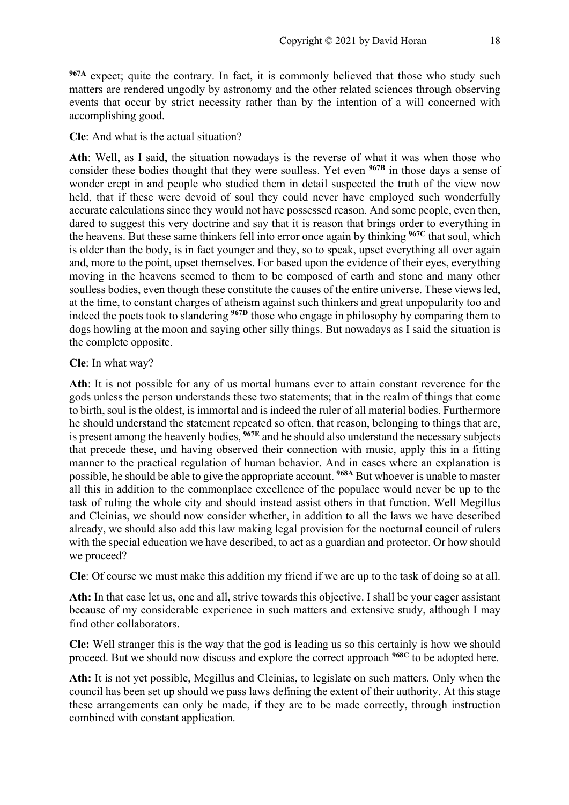**967A** expect; quite the contrary. In fact, it is commonly believed that those who study such matters are rendered ungodly by astronomy and the other related sciences through observing events that occur by strict necessity rather than by the intention of a will concerned with accomplishing good.

**Cle**: And what is the actual situation?

**Ath**: Well, as I said, the situation nowadays is the reverse of what it was when those who consider these bodies thought that they were soulless. Yet even **967B** in those days a sense of wonder crept in and people who studied them in detail suspected the truth of the view now held, that if these were devoid of soul they could never have employed such wonderfully accurate calculations since they would not have possessed reason. And some people, even then, dared to suggest this very doctrine and say that it is reason that brings order to everything in the heavens. But these same thinkers fell into error once again by thinking **967C** that soul, which is older than the body, is in fact younger and they, so to speak, upset everything all over again and, more to the point, upset themselves. For based upon the evidence of their eyes, everything moving in the heavens seemed to them to be composed of earth and stone and many other soulless bodies, even though these constitute the causes of the entire universe. These views led, at the time, to constant charges of atheism against such thinkers and great unpopularity too and indeed the poets took to slandering **967D** those who engage in philosophy by comparing them to dogs howling at the moon and saying other silly things. But nowadays as I said the situation is the complete opposite.

#### **Cle**: In what way?

**Ath**: It is not possible for any of us mortal humans ever to attain constant reverence for the gods unless the person understands these two statements; that in the realm of things that come to birth, soul is the oldest, is immortal and is indeed the ruler of all material bodies. Furthermore he should understand the statement repeated so often, that reason, belonging to things that are, is present among the heavenly bodies, **967E** and he should also understand the necessary subjects that precede these, and having observed their connection with music, apply this in a fitting manner to the practical regulation of human behavior. And in cases where an explanation is possible, he should be able to give the appropriate account. **968A** But whoever is unable to master all this in addition to the commonplace excellence of the populace would never be up to the task of ruling the whole city and should instead assist others in that function. Well Megillus and Cleinias, we should now consider whether, in addition to all the laws we have described already, we should also add this law making legal provision for the nocturnal council of rulers with the special education we have described, to act as a guardian and protector. Or how should we proceed?

**Cle**: Of course we must make this addition my friend if we are up to the task of doing so at all.

**Ath:** In that case let us, one and all, strive towards this objective. I shall be your eager assistant because of my considerable experience in such matters and extensive study, although I may find other collaborators.

**Cle:** Well stranger this is the way that the god is leading us so this certainly is how we should proceed. But we should now discuss and explore the correct approach **968C** to be adopted here.

**Ath:** It is not yet possible, Megillus and Cleinias, to legislate on such matters. Only when the council has been set up should we pass laws defining the extent of their authority. At this stage these arrangements can only be made, if they are to be made correctly, through instruction combined with constant application.